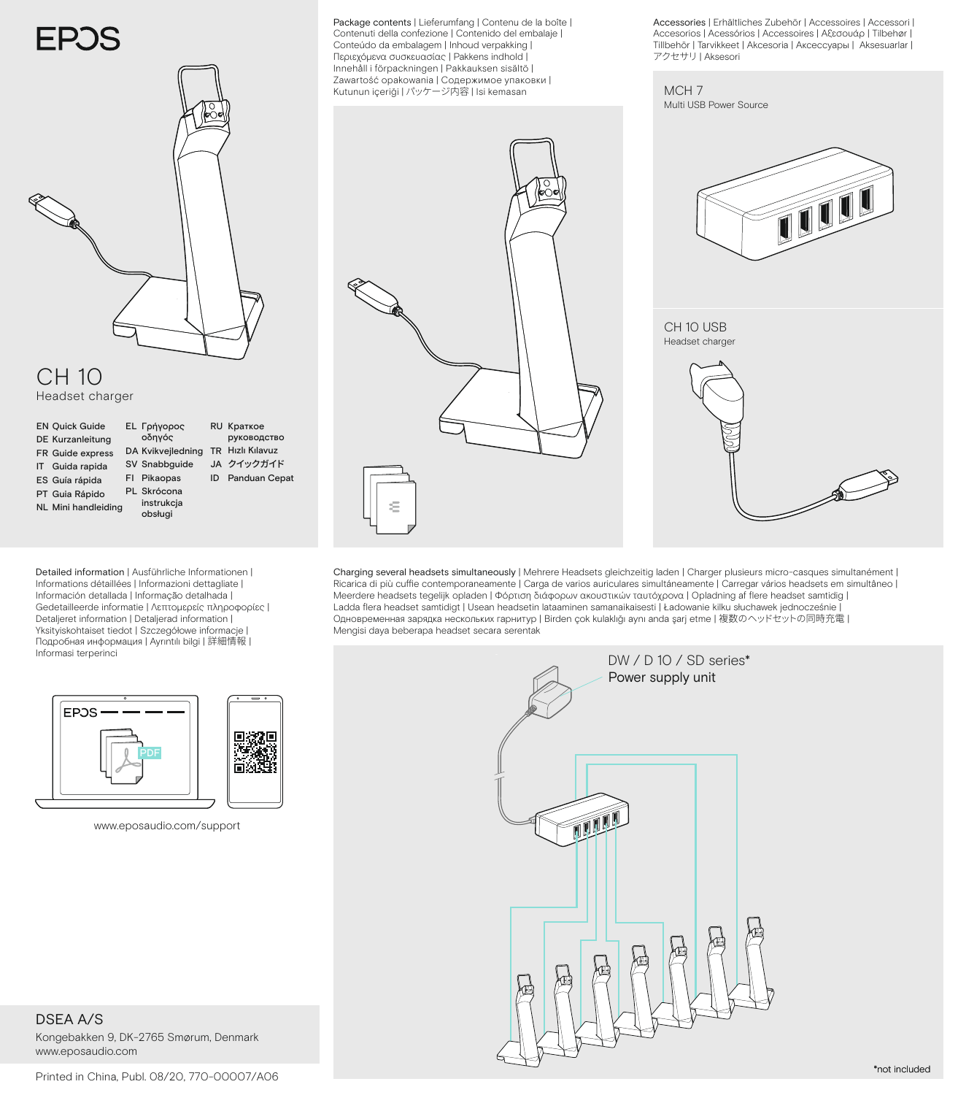## **EPOS**



## CH 10

Headset charger

**EN Quick Guide** DE Kurzanleitung FR Guide express Guida rapida IT ES Guía rápida PT Guia Rápido NL Mini handleiding obsługi

Γρήγορος EL

οδηγός DA Kvikvejledning SV Snabbguide FI Pikaopas PL Skrócona instrukcja TR Hızlı Kılavuz JA クイックガイド ID Panduan Cepat руководство

RU Краткое

Detailed information | Ausführliche Informationen | Informations détaillées | Informazioni dettagliate | Información detallada | Informação detalhada | Gedetailleerde informatie | Λεπτομερείς πληροφορίες | Detaljeret information | Detaljerad information | Yksityiskohtaiset tiedot | Szczegółowe informacje | Подробная информация | Ayrıntılı bilgi | 詳細情報 | Informasi terperinci



www.eposaudio.com/support

DSEA A/S Kongebakken 9, DK-2765 Smørum, Denmark www.eposaudio.com

Package contents | Lieferumfang | Contenu de la boîte | Contenuti della confezione | Contenido del embalaje | Conteúdo da embalagem | Inhoud verpakking | Περιεχόμενα συσκευασίας | Pakkens indhold | Innehåll i förpackningen | Pakkauksen sisältö | Zawartość opakowania | Содержимое упаковки | Kutunun içeriği | パッケージ内容 | Isi kemasan



Accessories | Erhältliches Zubehör | Accessoires | Accessori | Accesorios | Acessórios | Accessoires | Αξεσουάρ | Tilbehør | Tillbehör | Tarvikkeet | Akcesoria | Аксессуары | Aksesuarlar | アクセサリ | Aksesori

MCH<sub>7</sub> Multi USB Power Source



## CH 10 USB Headset charger

Charging several headsets simultaneously | Mehrere Headsets gleichzeitig laden | Charger plusieurs micro-casques simultanément | Ricarica di più cuffie contemporaneamente | Carga de varios auriculares simultáneamente | Carregar vários headsets em simultâneo | Meerdere headsets tegelijk opladen | Φόρτιση διάφορων ακουστικών ταυτόχρονα | Opladning af flere headset samtidig | Ladda flera headset samtidigt | Usean headsetin lataaminen samanaikaisesti | Ładowanie kilku słuchawek jednocześnie | Одновременная зарядка нескольких гарнитур | Birden çok kulaklığı aynı anda şarj etme | 複数のヘッドセットの同時充電 | Mengisi daya beberapa headset secara serentak